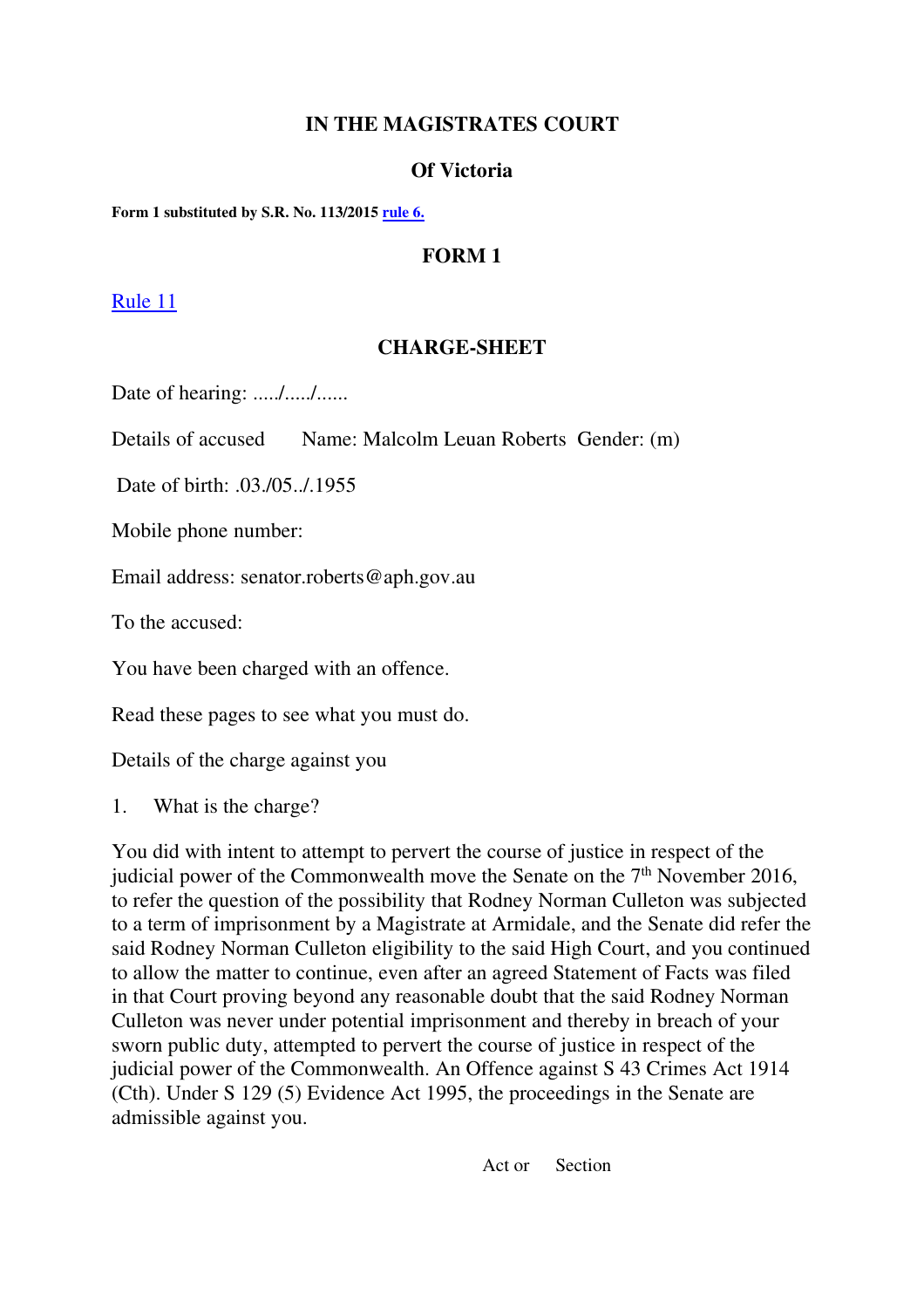# **IN THE MAGISTRATES COURT**

## **Of Victoria**

**Form 1 substituted by S.R. No. 113/2015 rule 6.**

# **FORM 1**

#### Rule 11

## **CHARGE-SHEET**

Date of hearing: ...../...../......

Details of accused Name: Malcolm Leuan Roberts Gender: (m)

Date of birth: .03./05../.1955

Mobile phone number:

Email address: senator.roberts@aph.gov.au

To the accused:

You have been charged with an offence.

Read these pages to see what you must do.

Details of the charge against you

1. What is the charge?

You did with intent to attempt to pervert the course of justice in respect of the judicial power of the Commonwealth move the Senate on the 7<sup>th</sup> November 2016, to refer the question of the possibility that Rodney Norman Culleton was subjected to a term of imprisonment by a Magistrate at Armidale, and the Senate did refer the said Rodney Norman Culleton eligibility to the said High Court, and you continued to allow the matter to continue, even after an agreed Statement of Facts was filed in that Court proving beyond any reasonable doubt that the said Rodney Norman Culleton was never under potential imprisonment and thereby in breach of your sworn public duty, attempted to pervert the course of justice in respect of the judicial power of the Commonwealth. An Offence against S 43 Crimes Act 1914 (Cth). Under S 129 (5) Evidence Act 1995, the proceedings in the Senate are admissible against you.

Act or Section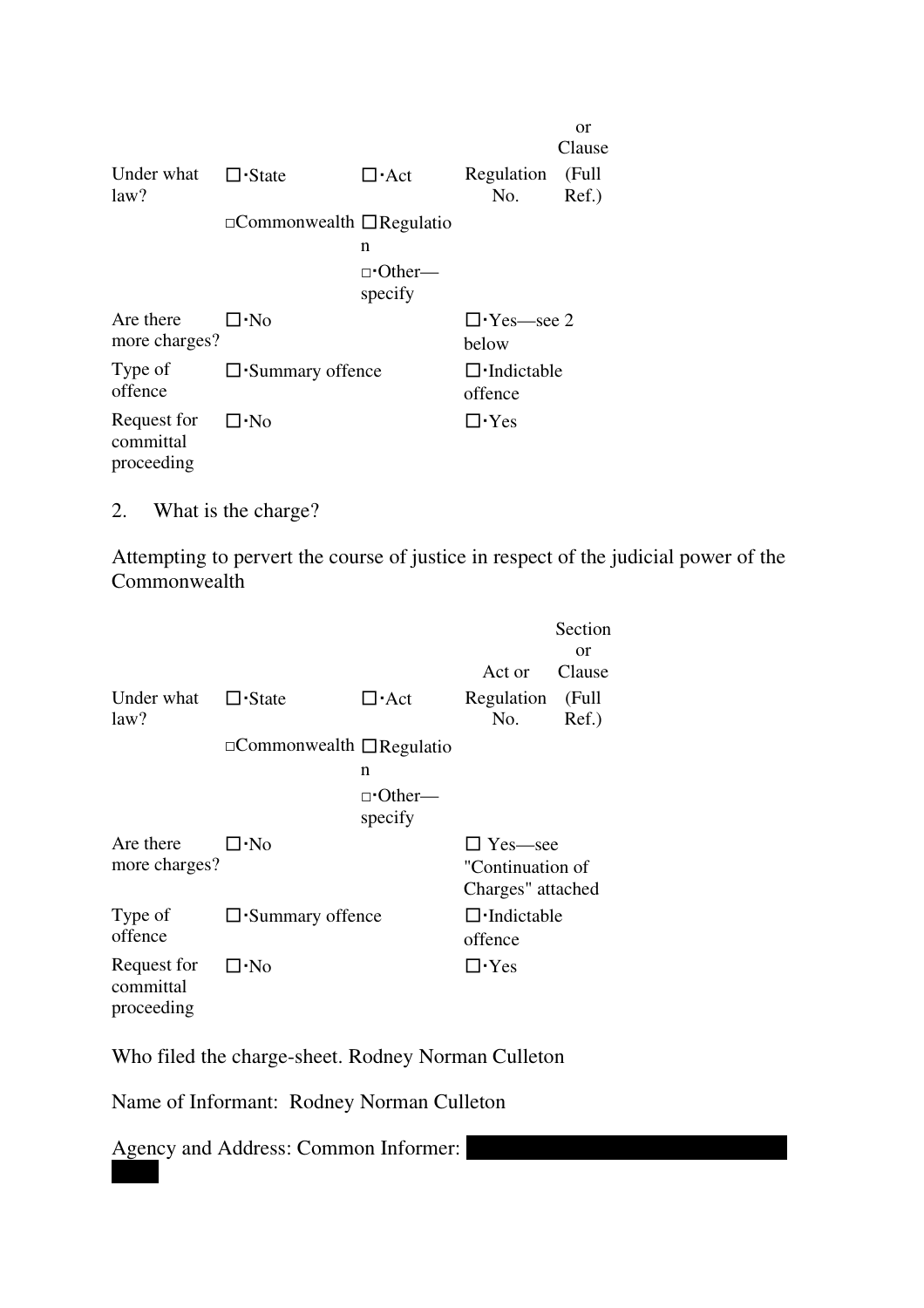|                                        |                                           |                          |                              | or<br>Clause   |
|----------------------------------------|-------------------------------------------|--------------------------|------------------------------|----------------|
| Under what<br>law?                     | $\Box$ State                              | $\Gamma$ Act             | Regulation<br>No.            | (Full<br>Ref.) |
|                                        | $\Box$ Commonwealth $\Box$ Regulatio<br>n |                          |                              |                |
|                                        |                                           | $\neg$ Other—<br>specify |                              |                |
| Are there<br>more charges?             | ⊟∙No                                      |                          | $\Box$ Yes—see 2<br>below    |                |
| Type of<br>offence                     | $\square$ Summary offence                 |                          | $\Box$ Indictable<br>offence |                |
| Request for<br>committal<br>proceeding | $\square$ . No                            |                          | $\Box$ Yes                   |                |

2. What is the charge?

Attempting to pervert the course of justice in respect of the judicial power of the Commonwealth

|                                        |                                      |                                 |                                                         | Section<br>or  |  |
|----------------------------------------|--------------------------------------|---------------------------------|---------------------------------------------------------|----------------|--|
|                                        |                                      |                                 | Act or                                                  | Clause         |  |
| Under what<br>law?                     | $\Box$ State                         | $\Box$ Act                      | Regulation<br>No.                                       | (Full<br>Ref.) |  |
|                                        | $\Box$ Commonwealth $\Box$ Regulatio |                                 |                                                         |                |  |
|                                        |                                      | n                               |                                                         |                |  |
|                                        |                                      | $\neg$ <b>Other—</b><br>specify |                                                         |                |  |
| Are there<br>more charges?             | $\Box \cdot$ No                      |                                 | $\Box$ Yes—see<br>"Continuation of<br>Charges" attached |                |  |
| Type of<br>offence                     | $\square$ Summary offence            |                                 | $\Box$ Indictable<br>offence                            |                |  |
| Request for<br>committal<br>proceeding | ∏∙No                                 |                                 | $\square$ · Yes                                         |                |  |

Who filed the charge-sheet. Rodney Norman Culleton

Name of Informant: Rodney Norman Culleton

Agency and Address: Common Informer: